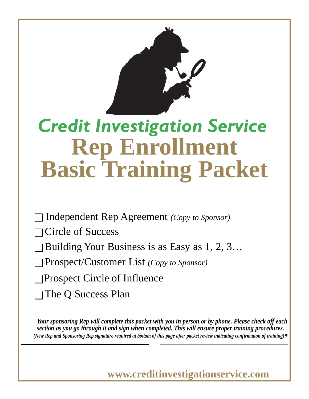

# **Rep Enrollment Basic Training Packet** *Credit Investigation Service*

Independent Rep Agreement *(Copy to Sponsor)* 

■ Circle of Success

■ Building Your Business is as Easy as 1, 2, 3…

■ Prospect/Customer List *(Copy to Sponsor)*

 $\Box$  Prospect Circle of Influence

□ The Q Success Plan

*Your sponsoring Rep will complete this packet with you in person or by phone. Please check off each section as you go through it and sign when completed. This will ensure proper training procedures. (New Rep and Sponsoring Rep signature required at bottom of this page after packet review indicating confirmation of training)\**

**www.creditinvestigationservice.com**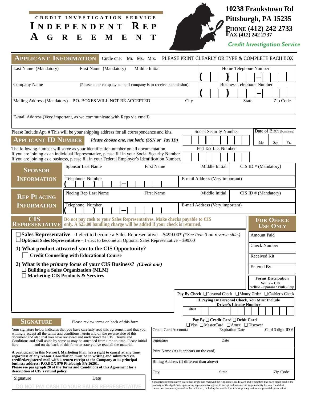| $\mathbf{A}$                                       | CREDIT INVESTIGATION SERVICE<br>INDEPENDENT REP<br>G R E E M E N                                                                                                                                                                                            | T                                                                                                                                                                                                                                                              |                                                               |                                               |              |                                |              | 10238 Frankstown Rd<br>Pittsburgh, PA 15235<br>PHONE (412) 242 2733<br>FAX (412) 242 2737<br><b>Credit Investigation Service</b> |                   |          |
|----------------------------------------------------|-------------------------------------------------------------------------------------------------------------------------------------------------------------------------------------------------------------------------------------------------------------|----------------------------------------------------------------------------------------------------------------------------------------------------------------------------------------------------------------------------------------------------------------|---------------------------------------------------------------|-----------------------------------------------|--------------|--------------------------------|--------------|----------------------------------------------------------------------------------------------------------------------------------|-------------------|----------|
| <b>APPLICANT INFORMATION</b>                       | Circle one: Mr. Ms. Mrs. PLEASE PRINT CLEARLY OR TYPE & COMPLETE EACH BOX                                                                                                                                                                                   |                                                                                                                                                                                                                                                                |                                                               |                                               |              |                                |              |                                                                                                                                  |                   |          |
| Last Name (Mandatory)                              | First Name (Mandatory)<br>Middle Initial                                                                                                                                                                                                                    |                                                                                                                                                                                                                                                                |                                                               |                                               |              |                                |              | Home Telephone Number                                                                                                            |                   |          |
| Company Name                                       | (Please enter company name if company is to receive commission)                                                                                                                                                                                             |                                                                                                                                                                                                                                                                |                                                               |                                               |              |                                |              | <b>Business Telephone Number</b>                                                                                                 |                   |          |
|                                                    | Mailing Address (Mandatory) - P.O. BOXES WILL NOT BE ACCEPTED                                                                                                                                                                                               |                                                                                                                                                                                                                                                                | City                                                          |                                               |              |                                | <b>State</b> |                                                                                                                                  |                   | Zip Code |
|                                                    | E-mail Address (Very important, as we communicate with Reps via email)                                                                                                                                                                                      |                                                                                                                                                                                                                                                                |                                                               |                                               |              |                                |              |                                                                                                                                  |                   |          |
|                                                    | Please Include Apt. # This will be your shipping address for all correspondence and kits.                                                                                                                                                                   |                                                                                                                                                                                                                                                                |                                                               | Social Security Number                        |              |                                |              | Date of Birth (Mandatory)                                                                                                        |                   |          |
| <b>APPLICANT ID NUMBER</b>                         | Please choose one, not both: (SSN or Tax ID)                                                                                                                                                                                                                |                                                                                                                                                                                                                                                                |                                                               |                                               |              |                                |              | Mo.                                                                                                                              | Day               | Yr.      |
|                                                    | The following number will serve as your identification number on all documentation.                                                                                                                                                                         |                                                                                                                                                                                                                                                                |                                                               | Fed Tax I.D. Number                           |              |                                |              |                                                                                                                                  |                   |          |
|                                                    | If you are joining as an individual Representative, please fill in your Social Security Number.<br>If you are joining as a business, please fill in your Federal Employer's Identification Number.                                                          |                                                                                                                                                                                                                                                                |                                                               |                                               |              |                                |              |                                                                                                                                  |                   |          |
| <b>SPONSOR</b>                                     | Sponsor Last Name                                                                                                                                                                                                                                           | <b>First Name</b>                                                                                                                                                                                                                                              |                                                               | Middle Initial                                |              |                                |              | $CIS$ ID $#$ (Mandatory)                                                                                                         |                   |          |
| <b>INFORMATION</b>                                 | Telephone Number                                                                                                                                                                                                                                            |                                                                                                                                                                                                                                                                | E-mail Address (Very important)                               |                                               |              |                                |              |                                                                                                                                  |                   |          |
| <b>REP PLACING</b>                                 | Placing Rep Last Name                                                                                                                                                                                                                                       | <b>First Name</b>                                                                                                                                                                                                                                              |                                                               | Middle Initial                                |              |                                |              | $CIS$ ID $#$ (Mandatory)                                                                                                         |                   |          |
| <b>INFORMATION</b>                                 | Telephone Number                                                                                                                                                                                                                                            |                                                                                                                                                                                                                                                                | E-mail Address (Very important)                               |                                               |              |                                |              |                                                                                                                                  |                   |          |
| CIS                                                | Do not pay cash to your Sales Representatives. Make checks payable to CIS<br><b>REPRESENTATIVE</b> only. A \$25.00 handling charge will be added if your check is returned.                                                                                 |                                                                                                                                                                                                                                                                |                                                               |                                               |              |                                |              | <b>FOR OFFICE</b><br><b>USE ONLY</b>                                                                                             |                   |          |
|                                                    | $\Box$ Sales Representative – I elect to become a Sales Representative – \$499.00* (*See Item 3 on reverse side.)<br>$\Box$ Optional Sales Representative – I elect to become an Optional Sales Representative – \$99.00                                    |                                                                                                                                                                                                                                                                |                                                               |                                               |              |                                |              | Amount Paid                                                                                                                      |                   |          |
|                                                    | 1) What product attracted you to the CIS Opportunity?                                                                                                                                                                                                       |                                                                                                                                                                                                                                                                |                                                               |                                               |              |                                |              | <b>Check Number</b>                                                                                                              |                   |          |
|                                                    | <b>Credit Counseling with Educational Course</b><br>2) What is the primary focus of your CIS Business? (Check one)                                                                                                                                          |                                                                                                                                                                                                                                                                |                                                               |                                               |              |                                |              | Received Kit<br>Entered By                                                                                                       |                   |          |
|                                                    | $\Box$ Building a Sales Organization (MLM)<br>$\Box$ Marketing CIS Products & Services                                                                                                                                                                      |                                                                                                                                                                                                                                                                |                                                               |                                               |              |                                |              |                                                                                                                                  |                   |          |
|                                                    |                                                                                                                                                                                                                                                             |                                                                                                                                                                                                                                                                |                                                               |                                               |              |                                |              | <b>Forms Distribution</b>                                                                                                        | White - CIS       |          |
|                                                    |                                                                                                                                                                                                                                                             |                                                                                                                                                                                                                                                                | Pay By Check □ Personal Check □ Money Order □ Cashier's Check |                                               |              |                                |              | Yellow - Sponsor • Pink - Rep                                                                                                    |                   |          |
|                                                    |                                                                                                                                                                                                                                                             |                                                                                                                                                                                                                                                                |                                                               | If Paying By Personal Check, You Must Include |              |                                |              |                                                                                                                                  |                   |          |
|                                                    |                                                                                                                                                                                                                                                             |                                                                                                                                                                                                                                                                | <b>State</b>                                                  |                                               |              | <b>Driver's License Number</b> |              |                                                                                                                                  |                   |          |
|                                                    |                                                                                                                                                                                                                                                             |                                                                                                                                                                                                                                                                |                                                               | Pay By □ Credit Card □ Debit Card             |              |                                |              |                                                                                                                                  |                   |          |
| <b>SIGNATURE</b>                                   | Please review terms on back of this form<br>Your signature below indicates that you have carefully read this agreement and that you                                                                                                                         | Credit Card Account#                                                                                                                                                                                                                                           | $\Box$ Visa $\Box$ MasterCard $\Box$ Amex $\Box$ Discover     |                                               |              |                                |              |                                                                                                                                  |                   |          |
|                                                    | willingly accept all the terms and conditions herein and on the reverse side of this<br>document and also that you have reviewed and understand the CIS Terms and<br>Conditions and shall abide by same as may be amended from time-to-time. Please initial | Signature                                                                                                                                                                                                                                                      |                                                               |                                               | Date         | <b>Expiration Date</b>         |              |                                                                                                                                  | Card 3 digit ID # |          |
| here                                               | and on the back of this form to state you've read all the material.<br>A participant in this Network Marketing Plan has a right to cancel at any time,                                                                                                      | Print Name (As it appears on the card)                                                                                                                                                                                                                         |                                                               |                                               |              |                                |              |                                                                                                                                  |                   |          |
| business address: P.O.BOX 979 Pittsburgh PA 16201. | regardless of any reason. Cancellation must be in writing and submitted via<br>certified/registered mail with a return receipt to the Company at its principal<br>Please see paragraph 20 of the Terms and Conditions of this Agreement for a               | Billing Address (If different than above)                                                                                                                                                                                                                      |                                                               |                                               |              |                                |              |                                                                                                                                  |                   |          |
| description of CIS's refund policy.                |                                                                                                                                                                                                                                                             | City                                                                                                                                                                                                                                                           |                                                               |                                               | <b>State</b> |                                |              |                                                                                                                                  |                   | Zip Code |
| Signature                                          | Date                                                                                                                                                                                                                                                        | Sponsoring representative states that he/she has reviewed the Applicant's credit card and is satisfied that such credit card is the<br>property of the Applicant. Sponsoring representative agrees to accept and assume full responsibility for any fraudulent |                                                               |                                               |              |                                |              |                                                                                                                                  |                   |          |
|                                                    | DO NOT PAY CASH TO YOUR SALES REPRESENTATIVE                                                                                                                                                                                                                | transaction concerning use of such credit card, including but not limited to disciplinary action and potential prosecution                                                                                                                                     |                                                               |                                               |              |                                |              |                                                                                                                                  |                   |          |

 $\mathbf{x}$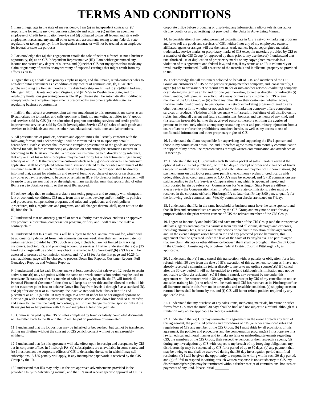#### **TERMS AND CONDITIONS**

1. I am of legal age in the state of my residency. I am (a) an independent contractor, (b) responsible for setting my own business schedule and activities,(c) neither an agent nor employee of Credit Investigation Service and (d) obligated to pay all federal and state selfemployment taxes and any and all other taxes and assessments owing to any federal, state, regulatory or taxing agency. I, the Independent contractor will not be treated as an employee for federal or state tax purposes.

2. I acknowledge that (a) this engagement entails the sale of neither a franchise nor a business opportunity, (b) as an CIS Independent Representative (IR), I am neither guaranteed any income nor assured any degree of success, and (c) neither CIS nor my sponsor has made any claim or guaranty of profits or any warranty of expected earnings that might result from my efforts as an IR.

3.I agree that (a) I shall place primary emphasis upon, and shall make, retail-customer sales to non-distributor consumers as a condition of my receipt of commissions, (b) IR-related purchases during the first six months of my distributorship are limited to (i) \$499 in Indiana, Michigan, North Dakota and West Virginia, and (ii) \$299 in Washington State, and (c) regulatory limitations governing permissible IR purchases shall be automatically modified to comply with the exemption requirements prescribed by any other applicable state law regulating business opportunities.

4. I affirm that, absent a corresponding written amendment to this agreement, my status as an IR authorizes me to market, and calls upon me to limit my marketing activities to, (a) goods and services sold by CIS (b) the educational program consulting services and credit-profileimprovement service, as sold by Credit Investigation Service CIS (c) sales of such goods and services to individuals and entities other than educational institutions and labor unions.

5. All presentations of products, services and opportunities shall strictly conform with the following format, and I acknowledge I will be terminated as an IR upon my default hereunder: a. Each customer shall receive a complete presentation of the goods and services offered for sale, before commencing any discussion concerning the customer's interest in becoming an IR. b. At no time shall a prospective customer be told, directly or by inference, that any or all of his or her subscription may be paid for by his or her future earnings through activity as an IR. c. If the prospective customer elects to buy goods or services, the customer application shall be completed before any discussion related to the possible recruitment of the customer as an IR. d. In each presentation of the IR position, the prospect shall be directly informed that, except for admission and renewal fees, no purchase of goods or services, nor any other outlay, is required to become or remain an IR. e. No direct or indirect statement will be made to any person that he or she might earn any particular sum, that sponsorship of other IRs is easy to obtain or retain, or that most IRs succeed.

6.I acknowledge that, to maintain a viable marketing program and to comply with changes in law or economic conditions, CIS may, from time to time, develop and/or modify its policies and procedures, compensation programs and rules and regulations, and such policies ,procedures, rules, regulations and programs, and all changes thereto, shall, upon notice to the IR, bind the IR.

7. I understand that no attorney general or other authority ever reviews, endorses or approves any product, subscription, compensation program, or firm, and I will at no time make a contrary claim.

8. I understand that IRs at all levels will be subject to the \$95 annual renewal fee, which will be automatically deducted from their commissions one week after their anniversary date, for certain services provided by CIS . Such services, include but are not limited to, tracking customers, tracking IRs, and providing accounting services. I further understand that (a) a \$25 handling charge will be added if any check is returned to CIS Services®,(b) a \$3 fee will be assessed to process all commission checks, and (c) a \$3 fee for the first page and \$0.25 for each additional page will be charged to process Down line Reports, Customer Reports ,Full Genealogy Reports, and Volume Reports.

9. I understand that (a) each IR must make at least one six-point sale every 12 weeks to retain active status,(b) only six points within the same one-week commission period may be used to reactivate IR status,(c) after six months of sales inactivity by an IR, the IR will forfeit all Personal Financial Customer Points (but will keep his or her title and be allowed to rebuild his or her customer point base to achieve Down line Pay from levels 1 through 5 as a standard IR), and (d) after one year of IR inactivity, the inactive Rep will forfeit his or her title and placement as an IR (but the IR may re-sign as a new IR under his or her original sponsor or elect to sign with another sponsor, although prior customers and down line will NOT transfer, and a new IR fee must be paid). Accordingly, an IR may change his or her sponsor only if the IR resigns his or her position with CIS and reapplies at least one year later.

10. Commission paid by the CIS on sales completed by fraud or falsely completed documents will be billed back to the IR and the IR will be put on probation or terminated.

11. I understand that my IR position may be inherited or bequeathed, but cannot be transferred during my lifetime without the consent of CIS ,which consent will not be unreasonably withheld.

12. I understand that (a) this agreement will take effect upon its receipt and acceptance by CIS , at its corporate offices in Pittsburgh PA, (b) subscriptions are unavailable in some states, and (c) I must contact the corporate offices of CIS to determine the states in which I may sell subscriptions. A \$25 penalty will apply, if any incomplete paperwork is received by the CIS Group by the IR.

13.I understand that IRs may only use the pre-approved advertisements provided in the provided Unity-in-Advertising manual, and that IRs must receive specific approval of CIS 's corporate office before producing or displaying any infomercial, radio or televisions ad, or display booth, or any advertising not provided in the Unity in Advertising Manual.

14. In consideration of my being permitted to participate in CIS's network-marketing program and/or to sell the goods and services of CIS, neither I nor any of my employees, owners, affiliates, agents or assigns will use the names, trade names, logos, copyrighted material, trademarks, service marks, or proprietary marks of CIS except in materials provided by CIS or a member of the CIS Group (or approved by them prior to my use thereof). I understand that unauthorized use or duplication of proprietary marks or any copyrighted materials is a violation of this agreement and federal law, and that, if my status as an IR is voluntarily or involuntarily terminated, I will cease use of the materials and intellectual property so provided to me.

15. I acknowledge that all customers solicited on behalf of CIS and members of the CIS Group are customers of CIS or the particular group member company, and, consequently, I agree (a) not to cross-market or recruit any IR for or into another network-marketing company, or (b) during my term as an IR and for one year thereafter, to neither directly nor indirectly (i) divert, entice, call upon, sell or solicit ,take away or move any customer of CIS or any member of the CIS Group, or (ii) solicit any other IR or their customers, whether active, inactive, individual or entity, to participate in a network-marketing program offered by any other business or firm, whether or not such network-marketing company offers competing services or products. Violation of this covenant will (i)result in forfeiture of all distributorship rights, including all current and future commissions, bonuses and payments of any kind, and (ii) result in irreparable harm to the aggrieved persons, therefore entitling the aggrieved persons to immediately obtain a temporary restraining order and preliminary injunction from a court of law to enforce the prohibitions contained herein, as well as my access to use of confidential information and other proprietary rights of CIS.

16. I understand that I am responsible for supervising and supporting the IRs I sponsor and those in my commission down line, and I therefore agree to maintain monthly communication in support of my down line representatives through written communication and attendance at IR meetings.

17. I understand that (a) CIS provides each IR with a packet of sales literature (even if the optional sales kit is not purchased), within ten days of receipt of order and clearance of funds (subject to availability of items ordered), and calculation and payment of IR commissions, (b) payment terms on distributor purchases permit checks, money orders or credit cards with order, although no credit purchases or C.O.D.'s may be accepted, and (c) IR commissions are paid according to the CIS Services Compensation Plan, which is appended hereto and incorporated herein by reference. Commissions for Washington State Reps are different. Please review the Compensation Plan for Washington State commissions. Sales must be received in the corporate office in Pittsburgh PA no later than Friday 3:00 p.m. to qualify for the following-week commissions. Weekly commission checks are issued on Friday.

18. I understand that IRs in the same household or business must have the same sponsor, and that IR lists and customer lists are owned by the CIS Group and may not be used for any purpose without the prior written consent of CIS the relevant member of the CIS Group.

19. I agree to indemnify and hold CIS and each member of the CIS Group (and their respective affiliates, agents and employees) harmless from any and all claims, damages and expenses, including attorney fees, arising out of my actions or conduct in violation of this agreement, and, in the event a dispute arises between me and any protected person hereunder, this agreement shall be governed under the laws of the State of Pennsylvania. The parties agree that any claim, dispute or other difference between them shall be brought in the Circuit Court in the County of Armstrong PA, or before Federal District Court in Pittsburgh PA, as applicable.

20. I understand that (a) I may cancel this transaction without penalty or obligation, for a full refund, within 30 days from the date of IR's execution of this agreement, so long as I have not already received a commission (either directly to me or to my upline sponsor),(b) if I cancel after the 30-day period, I will not be entitled to a refund (although this limitation may not be applicable to Georgia residents), (c) if I timely cancel, any payment by me under this agreement will be returned within 30 days following receipt by CIS of my cancellation notice and sales training kit, (d) no refund will be made until CIS has received at its Pittsburgh office all literature and sale aids from me in a reusable and resalable condition, (e) shipping costs on returned items shall be borne by me, and (f) CIS will honor refund policies required by any applicable law.

21. I understand that my purchase of any sales items, marketing materials, literature or order forms from CIS after the initial 30 days shall be final and not subject to a refund, although this limitation may not be applicable to Georgia residents.

22. I understand that (a) CIS may terminate this agreement in the event I breach any term of this agreement, the published policies and procedures of CIS ,or other announced rules and regulations of CIS any member of the CIS Group, (b) I must abide by all provisions of this agreement, the policies and procedures and the compensation program,(c) I must operate in a lawful, ethical and moral manner and to make no false or misleading statements regarding CIS, the members of the CIS Group, their respective vendors or their respective agents, (d) during any investigation by CIS with respect to my breach of my foregoing obligations, my distributorship may be suspended by CIS for a period of up to 30 days, (e) any payment that may be owing to me, shall be escrowed during that 30-day investigation period until final resolution, (f) I will be given the opportunity to respond in writing within such 30-day period, and (g) if I fail to respond in writing or such written response is not satisfactory to CIS, my distributorship's rights may be terminated without further receipt of commissions, bonuses or payments of any kind. Please initial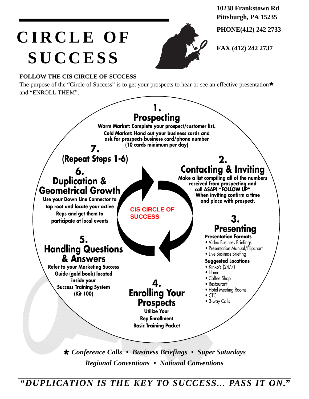**10238 Frankstown Rd Pittsburgh, PA 15235**

**PHONE(412) 242 2733**

**FAX (412) 242 2737** 

## **CIRCLE OF SUCCESS**



#### **FOLLOW THE CIS CIRCLE OF SUCCESS**

The purpose of the "Circle of Success" is to get your prospects to hear or see an effective presentation**\*** and "ENROLL THEM".



*Regional Conventions • National Conventions*

*"DUPLICATION IS THE KEY TO SUCCESS... PASS IT ON."*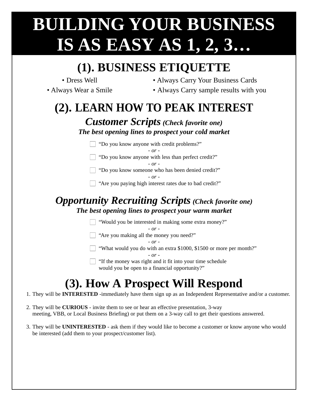## **BUILDING YOUR BUSINESS IS AS EASY AS 1, 2, 3…**

### **(1). BUSINESS ETIQUETTE**

- 
- Dress Well Always Carry Your Business Cards
- 
- Always Wear a Smile Always Carry sample results with you

### **(2). LEARN HOW TO PEAK INTEREST**

 $C$ ustomer Serints (Check **favorite one**)

| <b>Customer Scripts</b> (Check favorite one)<br>The best opening lines to prospect your cold market |  |
|-----------------------------------------------------------------------------------------------------|--|
| $\Box$ "Do you know anyone with credit problems?"                                                   |  |
| $ \alpha r$ -                                                                                       |  |
| $\Box$ "Do you know anyone with less than perfect credit?"                                          |  |
| $ \alpha r$ -                                                                                       |  |
| "Do you know someone who has been denied credit?"                                                   |  |

*- or -*

 $\Box$  "Are you paying high interest rates due to bad credit?"

#### *Opportunity Recruiting Scripts (Check favorite one) The best opening lines to prospect your warm market*

 $\Box$  "Would you be interested in making some extra money?"

*- or -*

 $\Box$  "Are you making all the money you need?"

*- or -*

What would you do with an extra \$1000, \$1500 or more per month?"

*- or -*

 $\Box$  "If the money was right and it fit into your time schedule would you be open to a financial opportunity?"

### **(3). How A Prospect Will Respond**

- 1. They will be **INTERESTED** -immediately have them sign up as an Independent Representative and/or a customer.
- 2. They will be **CURIOUS** invite them to see or hear an effective presentation, 3-way meeting, VBB, or Local Business Briefing) or put them on a 3-way call to get their questions answered.
- 3. They will be **UNINTERESTED** ask them if they would like to become a customer or know anyone who would be interested (add them to your prospect/customer list).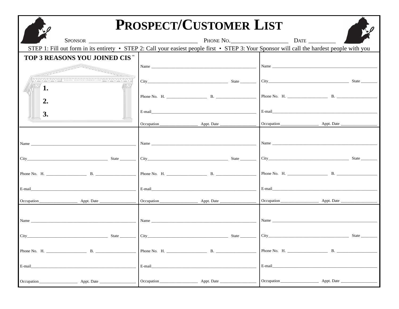|                                                                                                                                                                                                                                | PROSPECT/CUSTOMER LIST                                      |                                                                                                                                                                                                                                |
|--------------------------------------------------------------------------------------------------------------------------------------------------------------------------------------------------------------------------------|-------------------------------------------------------------|--------------------------------------------------------------------------------------------------------------------------------------------------------------------------------------------------------------------------------|
|                                                                                                                                                                                                                                |                                                             | $\frac{1}{2}$                                                                                                                                                                                                                  |
|                                                                                                                                                                                                                                |                                                             | STEP 1: Fill out form in its entirety • STEP 2: Call your easiest people first • STEP 3: Your Sponsor will call the hardest people with you                                                                                    |
| TOP 3 REASONS YOU JOINED CIS <sup>™</sup>                                                                                                                                                                                      |                                                             |                                                                                                                                                                                                                                |
|                                                                                                                                                                                                                                |                                                             |                                                                                                                                                                                                                                |
| EQUAL JUSTICE UNDER LAW CONTROL                                                                                                                                                                                                |                                                             |                                                                                                                                                                                                                                |
| 1.                                                                                                                                                                                                                             |                                                             |                                                                                                                                                                                                                                |
|                                                                                                                                                                                                                                |                                                             |                                                                                                                                                                                                                                |
| $2_{\cdot}$                                                                                                                                                                                                                    |                                                             |                                                                                                                                                                                                                                |
| <b>3.</b>                                                                                                                                                                                                                      |                                                             |                                                                                                                                                                                                                                |
|                                                                                                                                                                                                                                |                                                             |                                                                                                                                                                                                                                |
|                                                                                                                                                                                                                                |                                                             |                                                                                                                                                                                                                                |
|                                                                                                                                                                                                                                |                                                             |                                                                                                                                                                                                                                |
|                                                                                                                                                                                                                                |                                                             |                                                                                                                                                                                                                                |
|                                                                                                                                                                                                                                |                                                             |                                                                                                                                                                                                                                |
|                                                                                                                                                                                                                                |                                                             |                                                                                                                                                                                                                                |
|                                                                                                                                                                                                                                |                                                             |                                                                                                                                                                                                                                |
|                                                                                                                                                                                                                                |                                                             |                                                                                                                                                                                                                                |
|                                                                                                                                                                                                                                |                                                             |                                                                                                                                                                                                                                |
|                                                                                                                                                                                                                                |                                                             |                                                                                                                                                                                                                                |
| Name was a series of the series of the series of the series of the series of the series of the series of the series of the series of the series of the series of the series of the series of the series of the series of the s |                                                             | Name and the state of the state of the state of the state of the state of the state of the state of the state of the state of the state of the state of the state of the state of the state of the state of the state of the s |
|                                                                                                                                                                                                                                |                                                             |                                                                                                                                                                                                                                |
| City State State State State State State State State State State State State State State State State State State State State State State State State State State State State State State State State State State State State S |                                                             |                                                                                                                                                                                                                                |
| <b>B.</b><br>Phone No. H.                                                                                                                                                                                                      | <b>B.</b><br>Phone No. H.                                   | В.<br>Phone No. H.                                                                                                                                                                                                             |
|                                                                                                                                                                                                                                |                                                             |                                                                                                                                                                                                                                |
| E-mail                                                                                                                                                                                                                         | E-mail                                                      | E-mail                                                                                                                                                                                                                         |
| Appt. Date __<br>Occupation                                                                                                                                                                                                    | Appt. Date __<br>Occupation <u>contract the contract of</u> | Occupation<br>Appt. Date                                                                                                                                                                                                       |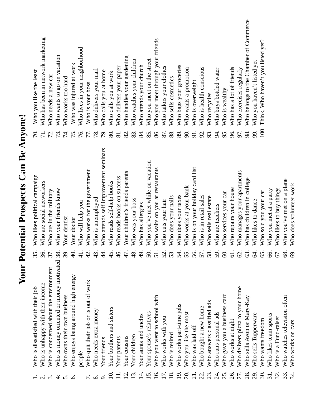|                     | Who is unhappy with their income<br>Who is dissatisfied with their job  | 36.                                                       | Who likes political campaign<br>Who are social networkers | $\overline{71}$ .<br>70. | Who has been in network marketing<br>Who you like the least |
|---------------------|-------------------------------------------------------------------------|-----------------------------------------------------------|-----------------------------------------------------------|--------------------------|-------------------------------------------------------------|
| $\dot{\rm c}$       | Who is concerned about the environment                                  | 37                                                        | Who are in the military                                   | 72.                      | Who needs a new car                                         |
| $\div$<br>$\dot{p}$ | Who is money oriented or money motivated<br>Who owns their own business | 38<br>39                                                  | Who your friends know<br>Your dentist                     | 74.<br>73.               | Who wants to go on vacation<br>Who works too hard           |
| ق                   | Who enjoys being around high energy                                     | Э.<br>Э                                                   | Your doctor                                               | 75.                      | Who was injured at work                                     |
|                     | people                                                                  |                                                           | Who will help you                                         | 76.                      | Who lives in your neighborhood                              |
|                     | Who quit their job or is out of work                                    |                                                           | Who works for the government                              | 77.                      | Who is your boss                                            |
| $\infty$            | Who needs extra money                                                   | 43                                                        | Who is unemployed                                         | 78.                      | Who delivers your mail                                      |
|                     | Your friends                                                            | 4                                                         | Who attends self improvement seminars                     | 79.                      | Who calls you at home                                       |
|                     | Your brothers and sisters                                               | 45                                                        | Who reads self-help books                                 | 80.                      | Who calls you at work                                       |
|                     | Your parents                                                            | $\frac{6}{4}$                                             | Who reads books on success                                | 81.                      | Who delivers your paper                                     |
| $\overline{Q}$      | Your cousins                                                            | 47                                                        | Your children's friends parents                           | 82.                      | Who handles your gardening                                  |
| $\overline{3}$ .    | Your children                                                           | 48                                                        | Who was your boss                                         | 83.                      | Who watches your children                                   |
| $\overline{4}$ .    | Your aunts and uncles                                                   | $\frac{1}{2}$                                             | Who has allergies                                         | 84.                      | Who attends your church                                     |
| $\overline{5}$ .    | Your spouse's relatives                                                 | $\overline{50}$                                           | Who you've met while on vacation                          | 85.                      | Who you meet on the street                                  |
| <u>َی</u>           | Who you went to school with                                             | 51                                                        | Who waits on you at restaurants                           | 86.                      | Who you meet through your friends                           |
|                     | Who works with you                                                      | 52                                                        | Who cuts your hair                                        | 87.                      | Who tailors your clothes                                    |
| $\overline{18}$     | Who is retired                                                          | 53                                                        | Who does your nails                                       | 88.                      | Who sells cosmetics                                         |
| $\overline{9}$      | Who works part-time jobs                                                | 54                                                        | Who does your taxes                                       | 89.                      | Who bags your groceries                                     |
| $\overline{20}$     | Who you like the most                                                   | 55                                                        | Who works at your bank                                    | 90.                      | Who wants a promotion                                       |
| $\overline{21}$     | Who was laid off                                                        | 56.                                                       | Who is on your holiday card list                          | 91.                      | Who is overweight                                           |
| 22.                 | Who bought a new home                                                   | 57                                                        | Who is in retail sales                                    | $\mathfrak{D}$           | Who is health conscious                                     |
| 23.                 | ads<br>Who answers classified                                           | 58                                                        | Who sells real estate                                     |                          | Who recycles                                                |
| र्यं                | Who runs personal ads                                                   | 59                                                        | Who are teachers                                          | 94.                      | Who buys bottled water                                      |
| 25.                 | Who gave you a business card                                            | 8                                                         | Who services your car                                     | 95.                      | Who is wealthy                                              |
| 26.                 | Who works at night                                                      | 61                                                        | Who repairs your house                                    | 96.                      | Who has a lot of friends                                    |
|                     | Who delivers pizza to your home                                         | $\mathcal{S}% _{M_{1},M_{2}}^{\alpha,\beta}(\varepsilon)$ | Who manages your apartments                               | 97.                      | Who exercises regularly                                     |
| 28.                 | Who sells Avon or Mary-Kay                                              | 63                                                        | Who has children in college                               | 98.                      | Who belongs to the Chamber of Commerce                      |
| 29.                 | Who sells Tupperware                                                    | Z                                                         | Who likes to dance                                        | 99.                      | Who you haven't listed yet                                  |
| 30.                 | Who wants freedom                                                       | 65                                                        | Who sold you your car                                     | 100.                     | Think, Who haven't you listed yet?                          |
| 31.                 | Who likes team sports                                                   | 8                                                         | Who you met at a party                                    |                          |                                                             |
| 32.                 | Who is a Fund-raiser                                                    | 67.                                                       | Who likes to buy things                                   |                          |                                                             |
| 33.                 | Who watches television often                                            | $\frac{8}{3}$                                             | Who you've met on a plane                                 |                          |                                                             |
| 34.                 | Who works on cars                                                       | $\Im$                                                     | Who does volunteer work                                   |                          |                                                             |

**Your Potential Prospects Can Be Anyone!**

Your Potential Prospects Can Be Anyone!